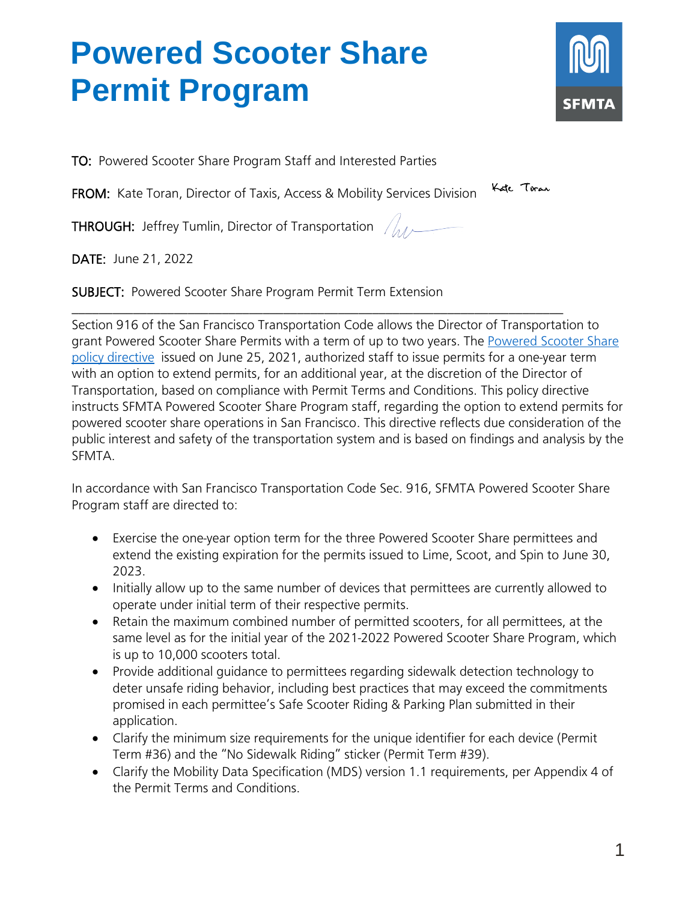

TO: Powered Scooter Share Program Staff and Interested Parties

FROM: Kate Toran, Director of Taxis, Access & Mobility Services Division Kate Toran

**THROUGH:** Jeffrey Tumlin, Director of Transportation  $\sqrt{\sqrt{2}}$ 

DATE: June 21, 2022

SUBJECT: Powered Scooter Share Program Permit Term Extension

\_\_\_\_\_\_\_\_\_\_\_\_\_\_\_\_\_\_\_\_\_\_\_\_\_\_\_\_\_\_\_\_\_\_\_\_\_\_\_\_\_\_\_\_\_\_\_\_\_\_\_\_\_\_\_\_\_\_\_\_\_\_\_\_\_\_\_\_\_\_\_\_ Section 916 of the San Francisco Transportation Code allows the Director of Transportation to grant Powered Scooter Share Permits with a term of up to two years. The Powered [Scooter Share](https://www.sfmta.com/sites/default/files/reports-and-documents/2021/06/2021_powered_scooter_share_policy_directive_signed.pdf)  [policy directive](https://www.sfmta.com/sites/default/files/reports-and-documents/2021/06/2021_powered_scooter_share_policy_directive_signed.pdf) issued on June 25, 2021, authorized staff to issue permits for a one-year term with an option to extend permits, for an additional year, at the discretion of the Director of Transportation, based on compliance with Permit Terms and Conditions. This policy directive instructs SFMTA Powered Scooter Share Program staff, regarding the option to extend permits for powered scooter share operations in San Francisco. This directive reflects due consideration of the public interest and safety of the transportation system and is based on findings and analysis by the SFMTA.

In accordance with San Francisco Transportation Code Sec. 916, SFMTA Powered Scooter Share Program staff are directed to:

- Exercise the one-year option term for the three Powered Scooter Share permittees and extend the existing expiration for the permits issued to Lime, Scoot, and Spin to June 30, 2023.
- Initially allow up to the same number of devices that permittees are currently allowed to operate under initial term of their respective permits.
- Retain the maximum combined number of permitted scooters, for all permittees, at the same level as for the initial year of the 2021-2022 Powered Scooter Share Program, which is up to 10,000 scooters total.
- Provide additional guidance to permittees regarding sidewalk detection technology to deter unsafe riding behavior, including best practices that may exceed the commitments promised in each permittee's Safe Scooter Riding & Parking Plan submitted in their application.
- Clarify the minimum size requirements for the unique identifier for each device (Permit Term #36) and the "No Sidewalk Riding" sticker (Permit Term #39).
- Clarify the Mobility Data Specification (MDS) version 1.1 requirements, per Appendix 4 of the Permit Terms and Conditions.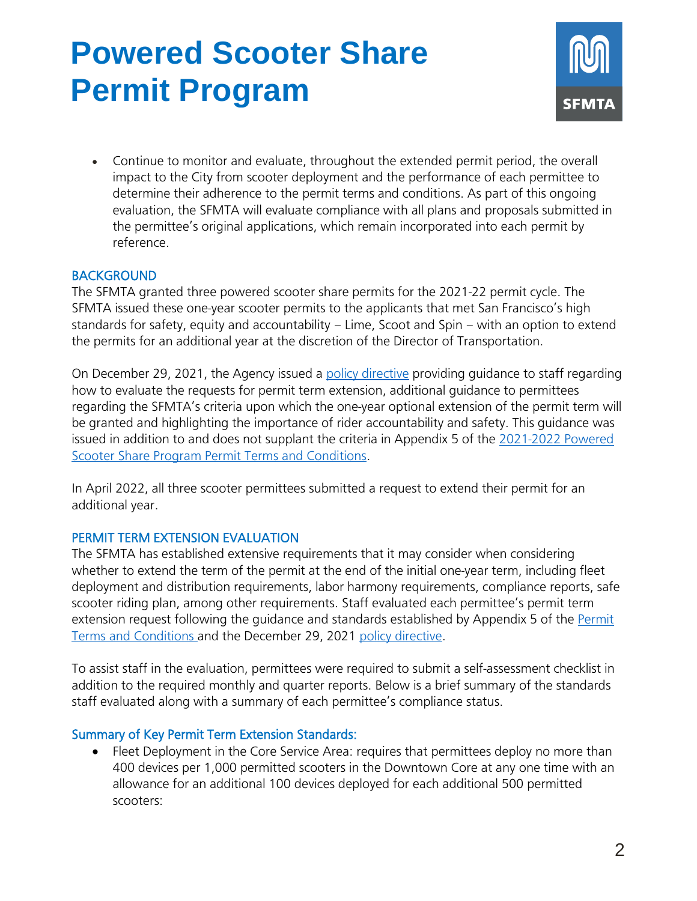

 Continue to monitor and evaluate, throughout the extended permit period, the overall impact to the City from scooter deployment and the performance of each permittee to determine their adherence to the permit terms and conditions. As part of this ongoing evaluation, the SFMTA will evaluate compliance with all plans and proposals submitted in the permittee's original applications, which remain incorporated into each permit by reference.

#### BACKGROUND

The SFMTA granted three powered scooter share permits for the 2021-22 permit cycle. The SFMTA issued these one-year scooter permits to the applicants that met San Francisco's high standards for safety, equity and accountability – Lime, Scoot and Spin – with an option to extend the permits for an additional year at the discretion of the Director of Transportation.

On December 29, 2021, the Agency issued a [policy directive](https://www.sfmta.com/sites/default/files/reports-and-documents/2022/01/fleet_expansion_and_optional_permit_term_extension_guidance_12.29.21.pdf) providing guidance to staff regarding how to evaluate the requests for permit term extension, additional guidance to permittees regarding the SFMTA's criteria upon which the one-year optional extension of the permit term will be granted and highlighting the importance of rider accountability and safety. This guidance was issued in addition to and does not supplant the criteria in Appendix 5 of the [2021-2022 Powered](https://www.sfmta.com/sites/default/files/reports-and-documents/2022/05/2021-2022_scooter_permit_terms_and_conditions_and_appendices.pdf)  [Scooter Share Program Permit Terms and Conditions.](https://www.sfmta.com/sites/default/files/reports-and-documents/2022/05/2021-2022_scooter_permit_terms_and_conditions_and_appendices.pdf)

In April 2022, all three scooter permittees submitted a request to extend their permit for an additional year.

#### PERMIT TERM EXTENSION EVALUATION

The SFMTA has established extensive requirements that it may consider when considering whether to extend the term of the permit at the end of the initial one-year term, including fleet deployment and distribution requirements, labor harmony requirements, compliance reports, safe scooter riding plan, among other requirements. Staff evaluated each permittee's permit term extension request following the guidance and standards established by Appendix 5 of the Permit [Terms and Conditions a](https://www.sfmta.com/sites/default/files/reports-and-documents/2022/05/2021-2022_scooter_permit_terms_and_conditions_and_appendices.pdf)nd the December 29, 2021 [policy directive.](https://www.sfmta.com/sites/default/files/reports-and-documents/2022/01/fleet_expansion_and_optional_permit_term_extension_guidance_12.29.21.pdf)

To assist staff in the evaluation, permittees were required to submit a self-assessment checklist in addition to the required monthly and quarter reports. Below is a brief summary of the standards staff evaluated along with a summary of each permittee's compliance status.

#### Summary of Key Permit Term Extension Standards:

• Fleet Deployment in the Core Service Area: requires that permittees deploy no more than 400 devices per 1,000 permitted scooters in the Downtown Core at any one time with an allowance for an additional 100 devices deployed for each additional 500 permitted scooters: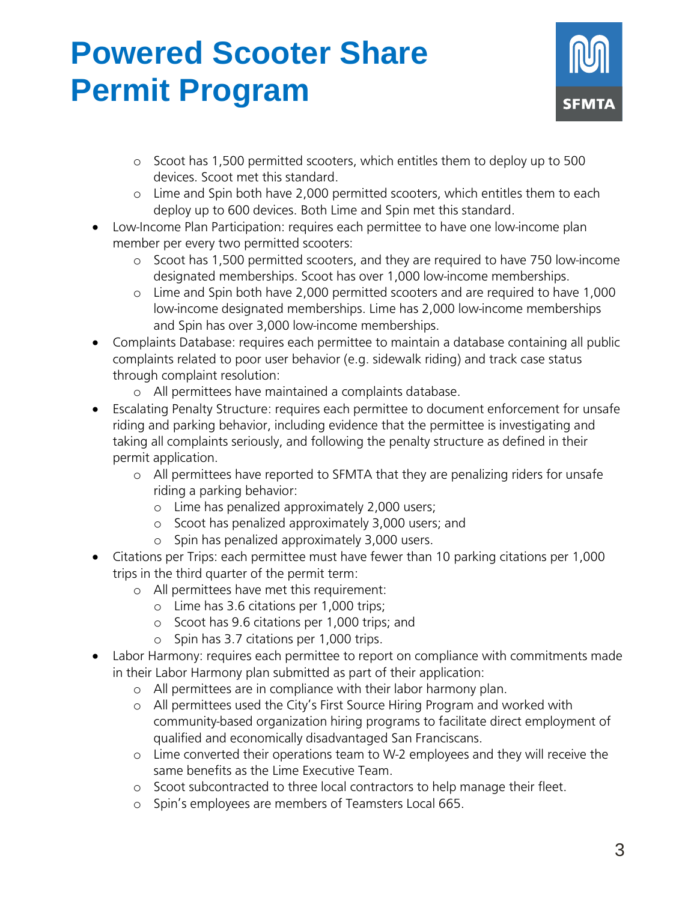

- o Scoot has 1,500 permitted scooters, which entitles them to deploy up to 500 devices. Scoot met this standard.
- o Lime and Spin both have 2,000 permitted scooters, which entitles them to each deploy up to 600 devices. Both Lime and Spin met this standard.
- Low-Income Plan Participation: requires each permittee to have one low-income plan member per every two permitted scooters:
	- o Scoot has 1,500 permitted scooters, and they are required to have 750 low-income designated memberships. Scoot has over 1,000 low-income memberships.
	- o Lime and Spin both have 2,000 permitted scooters and are required to have 1,000 low-income designated memberships. Lime has 2,000 low-income memberships and Spin has over 3,000 low-income memberships.
- Complaints Database: requires each permittee to maintain a database containing all public complaints related to poor user behavior (e.g. sidewalk riding) and track case status through complaint resolution:
	- o All permittees have maintained a complaints database.
- Escalating Penalty Structure: requires each permittee to document enforcement for unsafe riding and parking behavior, including evidence that the permittee is investigating and taking all complaints seriously, and following the penalty structure as defined in their permit application.
	- o All permittees have reported to SFMTA that they are penalizing riders for unsafe riding a parking behavior:
		- o Lime has penalized approximately 2,000 users;
		- o Scoot has penalized approximately 3,000 users; and
		- o Spin has penalized approximately 3,000 users.
- Citations per Trips: each permittee must have fewer than 10 parking citations per 1,000 trips in the third quarter of the permit term:
	- o All permittees have met this requirement:
		- o Lime has 3.6 citations per 1,000 trips;
		- o Scoot has 9.6 citations per 1,000 trips; and
		- o Spin has 3.7 citations per 1,000 trips.
- Labor Harmony: requires each permittee to report on compliance with commitments made in their Labor Harmony plan submitted as part of their application:
	- o All permittees are in compliance with their labor harmony plan.
	- o All permittees used the City's First Source Hiring Program and worked with community-based organization hiring programs to facilitate direct employment of qualified and economically disadvantaged San Franciscans.
	- o Lime converted their operations team to W-2 employees and they will receive the same benefits as the Lime Executive Team.
	- o Scoot subcontracted to three local contractors to help manage their fleet.
	- o Spin's employees are members of Teamsters Local 665.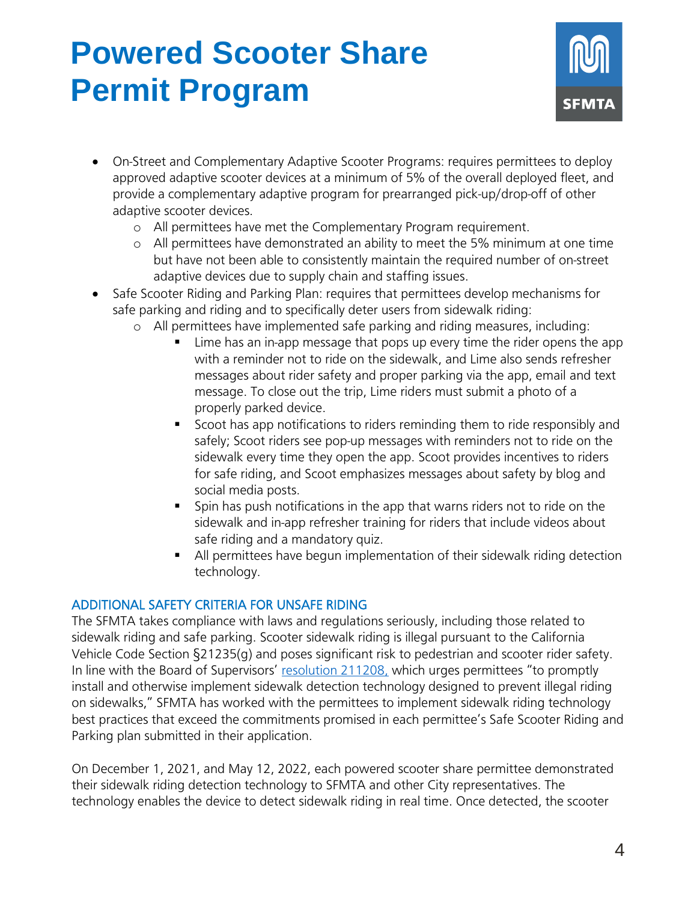

- On-Street and Complementary Adaptive Scooter Programs: requires permittees to deploy approved adaptive scooter devices at a minimum of 5% of the overall deployed fleet, and provide a complementary adaptive program for prearranged pick-up/drop-off of other adaptive scooter devices.
	- o All permittees have met the Complementary Program requirement.
	- o All permittees have demonstrated an ability to meet the 5% minimum at one time but have not been able to consistently maintain the required number of on-street adaptive devices due to supply chain and staffing issues.
- Safe Scooter Riding and Parking Plan: requires that permittees develop mechanisms for safe parking and riding and to specifically deter users from sidewalk riding:
	- o All permittees have implemented safe parking and riding measures, including:
		- Lime has an in-app message that pops up every time the rider opens the app with a reminder not to ride on the sidewalk, and Lime also sends refresher messages about rider safety and proper parking via the app, email and text message. To close out the trip, Lime riders must submit a photo of a properly parked device.
		- Scoot has app notifications to riders reminding them to ride responsibly and safely; Scoot riders see pop-up messages with reminders not to ride on the sidewalk every time they open the app. Scoot provides incentives to riders for safe riding, and Scoot emphasizes messages about safety by blog and social media posts.
		- Spin has push notifications in the app that warns riders not to ride on the sidewalk and in-app refresher training for riders that include videos about safe riding and a mandatory quiz.
		- All permittees have begun implementation of their sidewalk riding detection technology.

#### ADDITIONAL SAFETY CRITERIA FOR UNSAFE RIDING

The SFMTA takes compliance with laws and regulations seriously, including those related to sidewalk riding and safe parking. Scooter sidewalk riding is illegal pursuant to the California Vehicle Code Section §21235(g) and poses significant risk to pedestrian and scooter rider safety. In line with the Board of Supervisors' [resolution 211208,](https://sfgov.legistar.com/View.ashx?M=F&ID=10337867&GUID=A2764A93-18D2-4287-AF7B-68407965320D) which urges permittees "to promptly install and otherwise implement sidewalk detection technology designed to prevent illegal riding on sidewalks," SFMTA has worked with the permittees to implement sidewalk riding technology best practices that exceed the commitments promised in each permittee's Safe Scooter Riding and Parking plan submitted in their application.

On December 1, 2021, and May 12, 2022, each powered scooter share permittee demonstrated their sidewalk riding detection technology to SFMTA and other City representatives. The technology enables the device to detect sidewalk riding in real time. Once detected, the scooter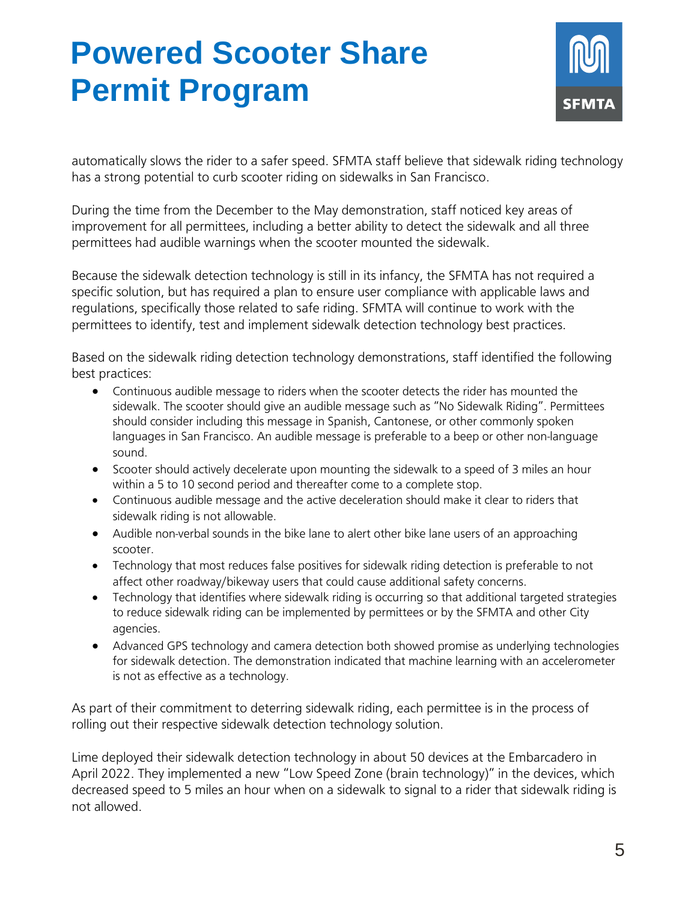

automatically slows the rider to a safer speed. SFMTA staff believe that sidewalk riding technology has a strong potential to curb scooter riding on sidewalks in San Francisco.

During the time from the December to the May demonstration, staff noticed key areas of improvement for all permittees, including a better ability to detect the sidewalk and all three permittees had audible warnings when the scooter mounted the sidewalk.

Because the sidewalk detection technology is still in its infancy, the SFMTA has not required a specific solution, but has required a plan to ensure user compliance with applicable laws and regulations, specifically those related to safe riding. SFMTA will continue to work with the permittees to identify, test and implement sidewalk detection technology best practices.

Based on the sidewalk riding detection technology demonstrations, staff identified the following best practices:

- Continuous audible message to riders when the scooter detects the rider has mounted the sidewalk. The scooter should give an audible message such as "No Sidewalk Riding". Permittees should consider including this message in Spanish, Cantonese, or other commonly spoken languages in San Francisco. An audible message is preferable to a beep or other non-language sound.
- Scooter should actively decelerate upon mounting the sidewalk to a speed of 3 miles an hour within a 5 to 10 second period and thereafter come to a complete stop.
- Continuous audible message and the active deceleration should make it clear to riders that sidewalk riding is not allowable.
- Audible non-verbal sounds in the bike lane to alert other bike lane users of an approaching scooter.
- Technology that most reduces false positives for sidewalk riding detection is preferable to not affect other roadway/bikeway users that could cause additional safety concerns.
- Technology that identifies where sidewalk riding is occurring so that additional targeted strategies to reduce sidewalk riding can be implemented by permittees or by the SFMTA and other City agencies.
- Advanced GPS technology and camera detection both showed promise as underlying technologies for sidewalk detection. The demonstration indicated that machine learning with an accelerometer is not as effective as a technology.

As part of their commitment to deterring sidewalk riding, each permittee is in the process of rolling out their respective sidewalk detection technology solution.

Lime deployed their sidewalk detection technology in about 50 devices at the Embarcadero in April 2022. They implemented a new "Low Speed Zone (brain technology)" in the devices, which decreased speed to 5 miles an hour when on a sidewalk to signal to a rider that sidewalk riding is not allowed.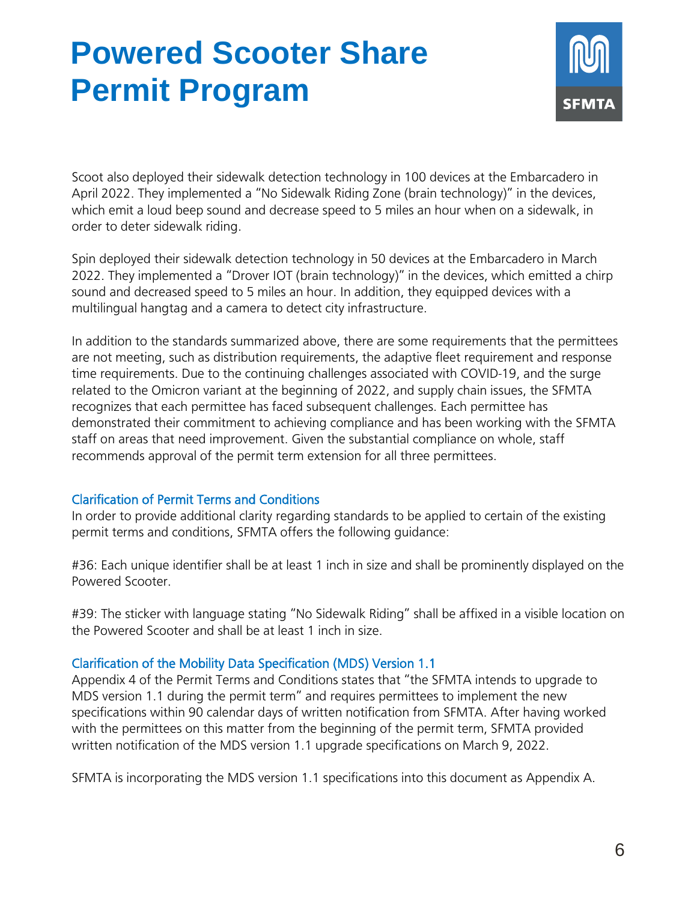

Scoot also deployed their sidewalk detection technology in 100 devices at the Embarcadero in April 2022. They implemented a "No Sidewalk Riding Zone (brain technology)" in the devices, which emit a loud beep sound and decrease speed to 5 miles an hour when on a sidewalk, in order to deter sidewalk riding.

Spin deployed their sidewalk detection technology in 50 devices at the Embarcadero in March 2022. They implemented a "Drover IOT (brain technology)" in the devices, which emitted a chirp sound and decreased speed to 5 miles an hour. In addition, they equipped devices with a multilingual hangtag and a camera to detect city infrastructure.

In addition to the standards summarized above, there are some requirements that the permittees are not meeting, such as distribution requirements, the adaptive fleet requirement and response time requirements. Due to the continuing challenges associated with COVID-19, and the surge related to the Omicron variant at the beginning of 2022, and supply chain issues, the SFMTA recognizes that each permittee has faced subsequent challenges. Each permittee has demonstrated their commitment to achieving compliance and has been working with the SFMTA staff on areas that need improvement. Given the substantial compliance on whole, staff recommends approval of the permit term extension for all three permittees.

#### Clarification of Permit Terms and Conditions

In order to provide additional clarity regarding standards to be applied to certain of the existing permit terms and conditions, SFMTA offers the following guidance:

#36: Each unique identifier shall be at least 1 inch in size and shall be prominently displayed on the Powered Scooter.

#39: The sticker with language stating "No Sidewalk Riding" shall be affixed in a visible location on the Powered Scooter and shall be at least 1 inch in size.

#### Clarification of the Mobility Data Specification (MDS) Version 1.1

Appendix 4 of the Permit Terms and Conditions states that "the SFMTA intends to upgrade to MDS version 1.1 during the permit term" and requires permittees to implement the new specifications within 90 calendar days of written notification from SFMTA. After having worked with the permittees on this matter from the beginning of the permit term, SFMTA provided written notification of the MDS version 1.1 upgrade specifications on March 9, 2022.

SFMTA is incorporating the MDS version 1.1 specifications into this document as Appendix A.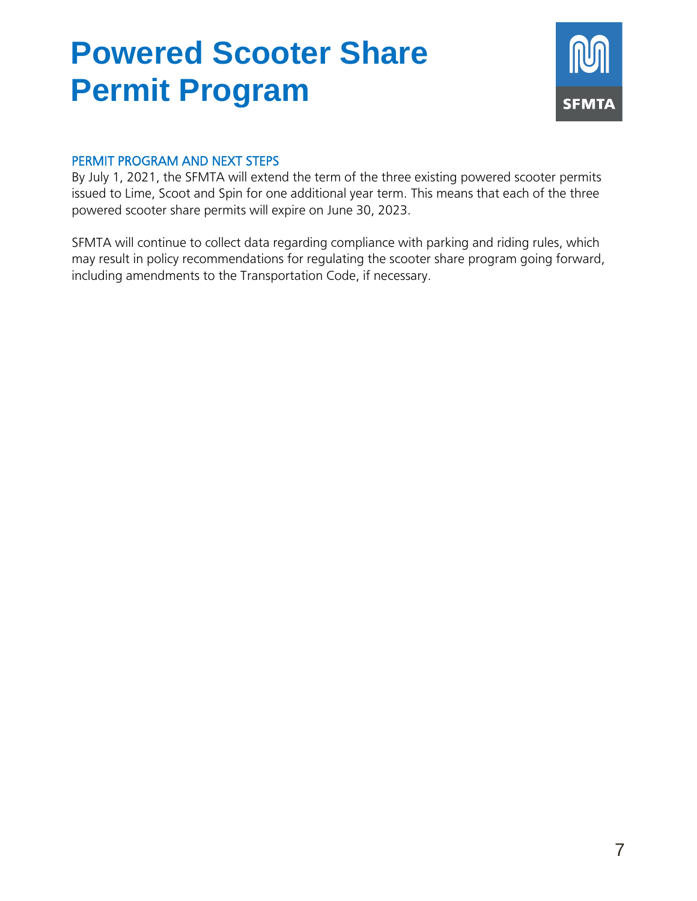

#### PERMIT PROGRAM AND NEXT STEPS

By July 1, 2021, the SFMTA will extend the term of the three existing powered scooter permits issued to Lime, Scoot and Spin for one additional year term. This means that each of the three powered scooter share permits will expire on June 30, 2023.

SFMTA will continue to collect data regarding compliance with parking and riding rules, which may result in policy recommendations for regulating the scooter share program going forward, including amendments to the Transportation Code, if necessary.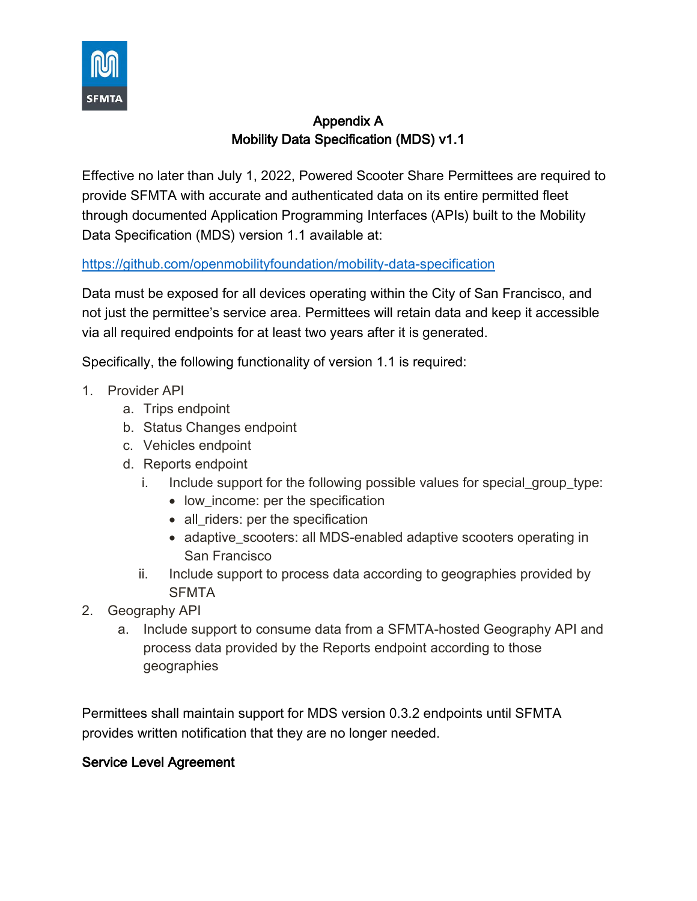

### Appendix A Mobility Data Specification (MDS) v1.1

Effective no later than July 1, 2022, Powered Scooter Share Permittees are required to provide SFMTA with accurate and authenticated data on its entire permitted fleet through documented Application Programming Interfaces (APIs) built to the Mobility Data Specification (MDS) version 1.1 available at:

### <https://github.com/openmobilityfoundation/mobility-data-specification>

Data must be exposed for all devices operating within the City of San Francisco, and not just the permittee's service area. Permittees will retain data and keep it accessible via all required endpoints for at least two years after it is generated.

Specifically, the following functionality of version 1.1 is required:

- 1. Provider API
	- a. Trips endpoint
	- b. Status Changes endpoint
	- c. Vehicles endpoint
	- d. Reports endpoint
		- i. Include support for the following possible values for special group type:
			- low\_income: per the specification
			- all riders: per the specification
			- adaptive\_scooters: all MDS-enabled adaptive scooters operating in San Francisco
		- ii. Include support to process data according to geographies provided by SFMTA
- 2. Geography API
	- a. Include support to consume data from a SFMTA-hosted Geography API and process data provided by the Reports endpoint according to those geographies

Permittees shall maintain support for MDS version 0.3.2 endpoints until SFMTA provides written notification that they are no longer needed.

### Service Level Agreement